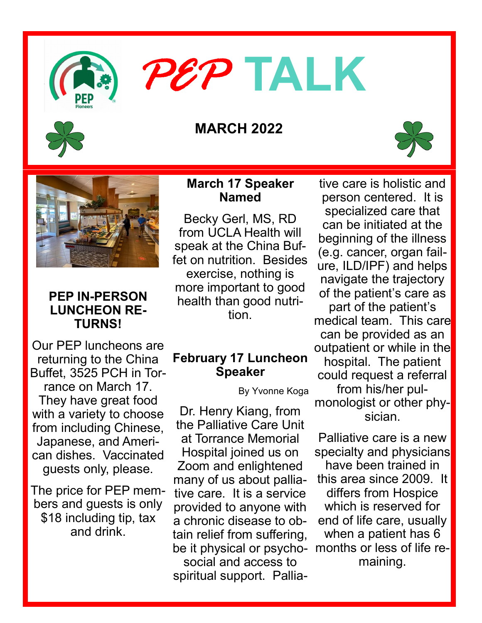

# *PEP* **TALK**

# **MARCH 2022**





## **PEP IN-PERSON LUNCHEON RE-TURNS!**

Our PEP luncheons are returning to the China Buffet, 3525 PCH in Torrance on March 17. They have great food with a variety to choose from including Chinese, Japanese, and American dishes. Vaccinated guests only, please.

The price for PEP members and guests is only \$18 including tip, tax and drink.

## **March 17 Speaker Named**

Becky Gerl, MS, RD from UCLA Health will speak at the China Buffet on nutrition. Besides exercise, nothing is more important to good health than good nutrition.

# **February 17 Luncheon Speaker**

By Yvonne Koga

Dr. Henry Kiang, from the Palliative Care Unit at Torrance Memorial Hospital joined us on Zoom and enlightened many of us about palliative care. It is a service provided to anyone with a chronic disease to obtain relief from suffering, be it physical or psychosocial and access to spiritual support. Pallia-

tive care is holistic and person centered. It is specialized care that can be initiated at the beginning of the illness (e.g. cancer, organ failure, ILD/IPF) and helps navigate the trajectory of the patient's care as part of the patient's medical team. This care can be provided as an outpatient or while in the hospital. The patient could request a referral from his/her pulmonologist or other physician.

Palliative care is a new specialty and physicians have been trained in this area since 2009. It differs from Hospice which is reserved for end of life care, usually when a patient has 6 months or less of life remaining.